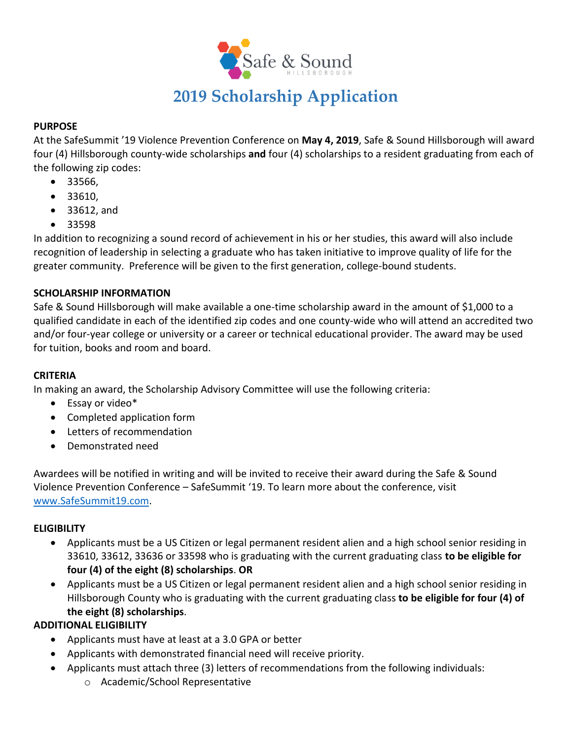

# **2019 Scholarship Application**

#### **PURPOSE**

At the SafeSummit '19 Violence Prevention Conference on **May 4, 2019**, Safe & Sound Hillsborough will award four (4) Hillsborough county-wide scholarships **and** four (4) scholarships to a resident graduating from each of the following zip codes:

- 33566,
- 33610,
- 33612, and
- 33598

In addition to recognizing a sound record of achievement in his or her studies, this award will also include recognition of leadership in selecting a graduate who has taken initiative to improve quality of life for the greater community. Preference will be given to the first generation, college-bound students.

#### **SCHOLARSHIP INFORMATION**

Safe & Sound Hillsborough will make available a one-time scholarship award in the amount of \$1,000 to a qualified candidate in each of the identified zip codes and one county-wide who will attend an accredited two and/or four-year college or university or a career or technical educational provider. The award may be used for tuition, books and room and board.

#### **CRITERIA**

In making an award, the Scholarship Advisory Committee will use the following criteria:

- Essay or video\*
- Completed application form
- Letters of recommendation
- Demonstrated need

Awardees will be notified in writing and will be invited to receive their award during the Safe & Sound Violence Prevention Conference – SafeSummit '19. To learn more about the conference, visit [www.SafeSummit19.com.](http://www.safesummit19.com/)

#### **ELIGIBILITY**

- Applicants must be a US Citizen or legal permanent resident alien and a high school senior residing in 33610, 33612, 33636 or 33598 who is graduating with the current graduating class **to be eligible for four (4) of the eight (8) scholarships**. **OR**
- Applicants must be a US Citizen or legal permanent resident alien and a high school senior residing in Hillsborough County who is graduating with the current graduating class **to be eligible for four (4) of the eight (8) scholarships**.

#### **ADDITIONAL ELIGIBILITY**

- Applicants must have at least at a 3.0 GPA or better
- Applicants with demonstrated financial need will receive priority.
- Applicants must attach three (3) letters of recommendations from the following individuals:
	- o Academic/School Representative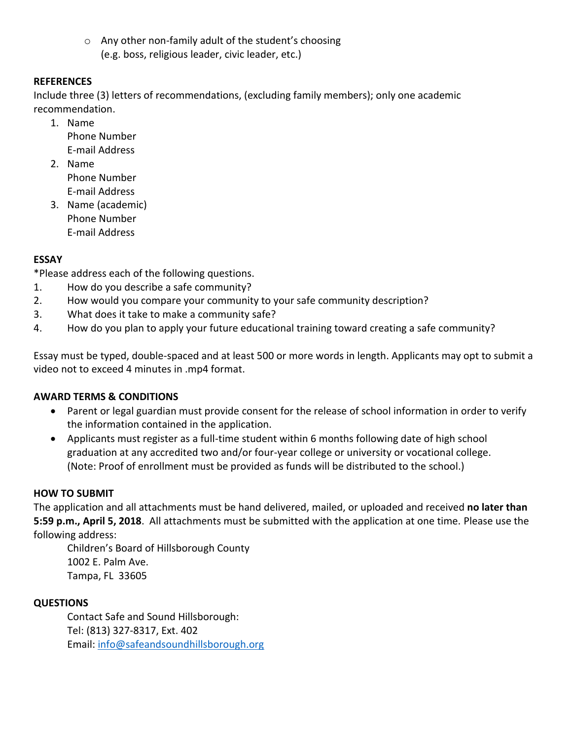o Any other non-family adult of the student's choosing (e.g. boss, religious leader, civic leader, etc.)

#### **REFERENCES**

Include three (3) letters of recommendations, (excluding family members); only one academic recommendation.

- 1. Name Phone Number E-mail Address
- 2. Name Phone Number E-mail Address
- 3. Name (academic) Phone Number E-mail Address

## **ESSAY**

\*Please address each of the following questions.

- 1. How do you describe a safe community?
- 2. How would you compare your community to your safe community description?
- 3. What does it take to make a community safe?
- 4. How do you plan to apply your future educational training toward creating a safe community?

Essay must be typed, double-spaced and at least 500 or more words in length. Applicants may opt to submit a video not to exceed 4 minutes in .mp4 format.

#### **AWARD TERMS & CONDITIONS**

- Parent or legal guardian must provide consent for the release of school information in order to verify the information contained in the application.
- Applicants must register as a full-time student within 6 months following date of high school graduation at any accredited two and/or four-year college or university or vocational college. (Note: Proof of enrollment must be provided as funds will be distributed to the school.)

#### **HOW TO SUBMIT**

The application and all attachments must be hand delivered, mailed, or uploaded and received **no later than 5:59 p.m., April 5, 2018**. All attachments must be submitted with the application at one time. Please use the following address:

Children's Board of Hillsborough County 1002 E. Palm Ave. Tampa, FL 33605

### **QUESTIONS**

Contact Safe and Sound Hillsborough: Tel: (813) 327-8317, Ext. 402 Email: [info@safeandsoundhillsborough.org](mailto:info@safeandsoundhillsborough.org)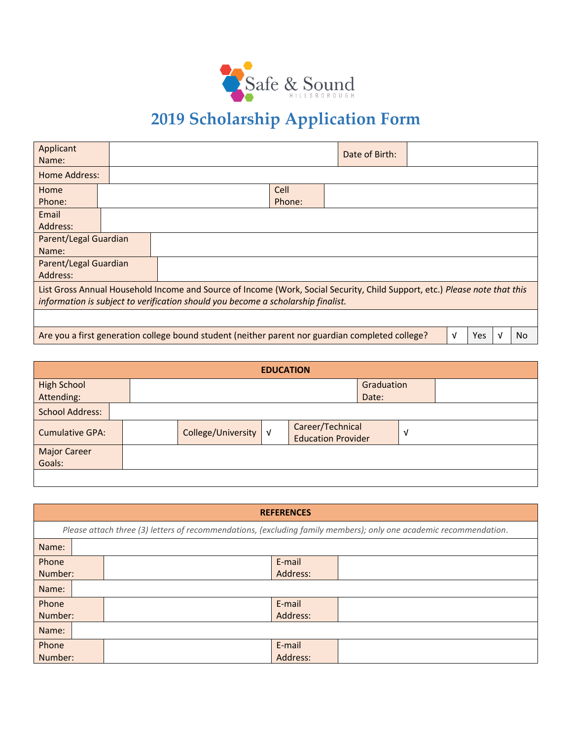

# **2019 Scholarship Application Form**

| Applicant                                                                                                                                                                                                      |  |  |        |  |  |  |  |  |
|----------------------------------------------------------------------------------------------------------------------------------------------------------------------------------------------------------------|--|--|--------|--|--|--|--|--|
| Name:                                                                                                                                                                                                          |  |  |        |  |  |  |  |  |
| Home Address:                                                                                                                                                                                                  |  |  |        |  |  |  |  |  |
| Home                                                                                                                                                                                                           |  |  | Cell   |  |  |  |  |  |
| Phone:                                                                                                                                                                                                         |  |  | Phone: |  |  |  |  |  |
| Email                                                                                                                                                                                                          |  |  |        |  |  |  |  |  |
| Address:                                                                                                                                                                                                       |  |  |        |  |  |  |  |  |
| Parent/Legal Guardian                                                                                                                                                                                          |  |  |        |  |  |  |  |  |
| Name:                                                                                                                                                                                                          |  |  |        |  |  |  |  |  |
| Parent/Legal Guardian                                                                                                                                                                                          |  |  |        |  |  |  |  |  |
| Address:                                                                                                                                                                                                       |  |  |        |  |  |  |  |  |
| List Gross Annual Household Income and Source of Income (Work, Social Security, Child Support, etc.) Please note that this<br>information is subject to verification should you become a scholarship finalist. |  |  |        |  |  |  |  |  |
|                                                                                                                                                                                                                |  |  |        |  |  |  |  |  |
| Are you a first generation college bound student (neither parent nor guardian completed college?<br><b>Yes</b><br>V<br>No<br>V                                                                                 |  |  |        |  |  |  |  |  |

| <b>EDUCATION</b>                 |  |  |                      |  |                                               |                     |   |  |
|----------------------------------|--|--|----------------------|--|-----------------------------------------------|---------------------|---|--|
| <b>High School</b><br>Attending: |  |  |                      |  |                                               | Graduation<br>Date: |   |  |
| <b>School Address:</b>           |  |  |                      |  |                                               |                     |   |  |
| <b>Cumulative GPA:</b>           |  |  | College/University V |  | Career/Technical<br><b>Education Provider</b> |                     | V |  |
| <b>Major Career</b><br>Goals:    |  |  |                      |  |                                               |                     |   |  |
|                                  |  |  |                      |  |                                               |                     |   |  |

| <b>REFERENCES</b>                                                                                                 |  |          |  |  |  |  |
|-------------------------------------------------------------------------------------------------------------------|--|----------|--|--|--|--|
| Please attach three (3) letters of recommendations, (excluding family members); only one academic recommendation. |  |          |  |  |  |  |
| Name:                                                                                                             |  |          |  |  |  |  |
| Phone                                                                                                             |  | E-mail   |  |  |  |  |
| Number:                                                                                                           |  | Address: |  |  |  |  |
| Name:                                                                                                             |  |          |  |  |  |  |
| Phone                                                                                                             |  | E-mail   |  |  |  |  |
| Number:                                                                                                           |  | Address: |  |  |  |  |
| Name:                                                                                                             |  |          |  |  |  |  |
| Phone                                                                                                             |  | E-mail   |  |  |  |  |
| Number:                                                                                                           |  | Address: |  |  |  |  |